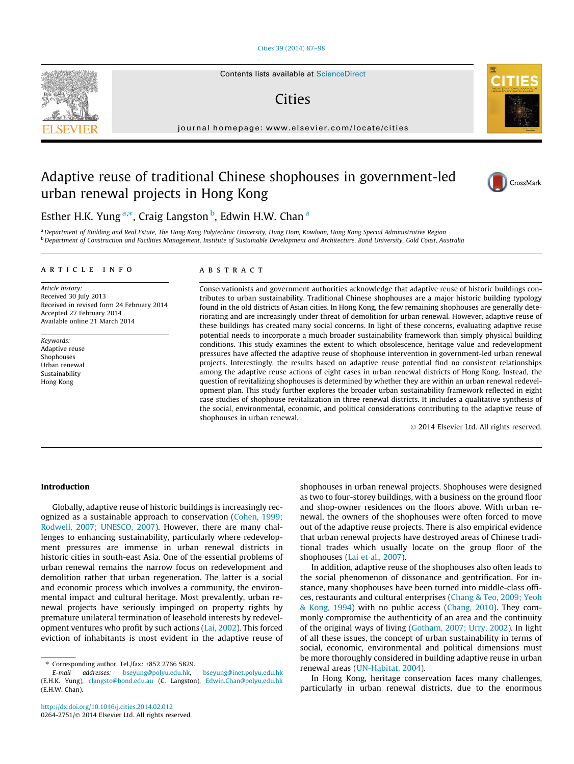#### [Cities 39 \(2014\) 87–98](http://dx.doi.org/10.1016/j.cities.2014.02.012)

Contents lists available at [ScienceDirect](http://www.sciencedirect.com/science/journal/02642751)

## **Cities**

journal homepage: [www.elsevier.com/locate/cities](http://www.elsevier.com/locate/cities)

## Adaptive reuse of traditional Chinese shophouses in government-led urban renewal projects in Hong Kong



Esther H.K. Yung<sup>a,\*</sup>, Craig Langston <sup>b</sup>, Edwin H.W. Chan <sup>a</sup>

a Department of Building and Real Estate, The Hong Kong Polytechnic University, Hung Hom, Kowloon, Hong Kong Special Administrative Region <sup>b</sup> Department of Construction and Facilities Management, Institute of Sustainable Development and Architecture, Bond University, Gold Coast, Australia

#### article info

Article history: Received 30 July 2013 Received in revised form 24 February 2014 Accepted 27 February 2014 Available online 21 March 2014

Keywords: Adaptive reuse Shophouses Urban renewal Sustainability Hong Kong

#### A B S T R A C T

Conservationists and government authorities acknowledge that adaptive reuse of historic buildings contributes to urban sustainability. Traditional Chinese shophouses are a major historic building typology found in the old districts of Asian cities. In Hong Kong, the few remaining shophouses are generally deteriorating and are increasingly under threat of demolition for urban renewal. However, adaptive reuse of these buildings has created many social concerns. In light of these concerns, evaluating adaptive reuse potential needs to incorporate a much broader sustainability framework than simply physical building conditions. This study examines the extent to which obsolescence, heritage value and redevelopment pressures have affected the adaptive reuse of shophouse intervention in government-led urban renewal projects. Interestingly, the results based on adaptive reuse potential find no consistent relationships among the adaptive reuse actions of eight cases in urban renewal districts of Hong Kong. Instead, the question of revitalizing shophouses is determined by whether they are within an urban renewal redevelopment plan. This study further explores the broader urban sustainability framework reflected in eight case studies of shophouse revitalization in three renewal districts. It includes a qualitative synthesis of the social, environmental, economic, and political considerations contributing to the adaptive reuse of shophouses in urban renewal.

- 2014 Elsevier Ltd. All rights reserved.

### Introduction

Globally, adaptive reuse of historic buildings is increasingly recognized as a sustainable approach to conservation ([Cohen, 1999;](#page--1-0) [Rodwell, 2007; UNESCO, 2007](#page--1-0)). However, there are many challenges to enhancing sustainability, particularly where redevelopment pressures are immense in urban renewal districts in historic cities in south-east Asia. One of the essential problems of urban renewal remains the narrow focus on redevelopment and demolition rather that urban regeneration. The latter is a social and economic process which involves a community, the environmental impact and cultural heritage. Most prevalently, urban renewal projects have seriously impinged on property rights by premature unilateral termination of leasehold interests by redevelopment ventures who profit by such actions [\(Lai, 2002\)](#page--1-0). This forced eviction of inhabitants is most evident in the adaptive reuse of shophouses in urban renewal projects. Shophouses were designed as two to four-storey buildings, with a business on the ground floor and shop-owner residences on the floors above. With urban renewal, the owners of the shophouses were often forced to move out of the adaptive reuse projects. There is also empirical evidence that urban renewal projects have destroyed areas of Chinese traditional trades which usually locate on the group floor of the shophouses [\(Lai et al., 2007\)](#page--1-0).

In addition, adaptive reuse of the shophouses also often leads to the social phenomenon of dissonance and gentrification. For instance, many shophouses have been turned into middle-class offices, restaurants and cultural enterprises [\(Chang & Teo, 2009; Yeoh](#page--1-0) [& Kong, 1994](#page--1-0)) with no public access [\(Chang, 2010](#page--1-0)). They commonly compromise the authenticity of an area and the continuity of the original ways of living [\(Gotham, 2007; Urry, 2002](#page--1-0)). In light of all these issues, the concept of urban sustainability in terms of social, economic, environmental and political dimensions must be more thoroughly considered in building adaptive reuse in urban renewal areas [\(UN-Habitat, 2004\)](#page--1-0).

In Hong Kong, heritage conservation faces many challenges, particularly in urban renewal districts, due to the enormous



<sup>⇑</sup> Corresponding author. Tel./fax: +852 2766 5829.

[bseyung@inet.polyu.edu.hk](mailto:bseyung@inet.polyu.edu.hk) (E.H.K. Yung), [clangsto@bond.edu.au](mailto:clangsto@bond.edu.au) (C. Langston), [Edwin.Chan@polyu.edu.hk](mailto:Edwin.Chan@polyu.edu.hk) (E.H.W. Chan).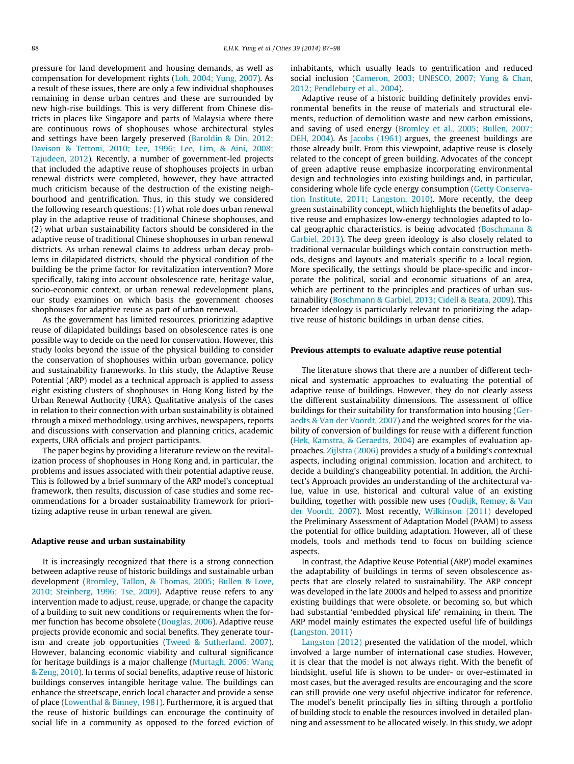pressure for land development and housing demands, as well as compensation for development rights ([Loh, 2004; Yung, 2007](#page--1-0)). As a result of these issues, there are only a few individual shophouses remaining in dense urban centres and these are surrounded by new high-rise buildings. This is very different from Chinese districts in places like Singapore and parts of Malaysia where there are continuous rows of shophouses whose architectural styles and settings have been largely preserved ([Baroldin & Din, 2012;](#page--1-0) [Davison & Tettoni, 2010; Lee, 1996; Lee, Lim, & Aini, 2008;](#page--1-0) [Tajudeen, 2012\)](#page--1-0). Recently, a number of government-led projects that included the adaptive reuse of shophouses projects in urban renewal districts were completed, however, they have attracted much criticism because of the destruction of the existing neighbourhood and gentrification. Thus, in this study we considered the following research questions: (1) what role does urban renewal play in the adaptive reuse of traditional Chinese shophouses, and (2) what urban sustainability factors should be considered in the adaptive reuse of traditional Chinese shophouses in urban renewal districts. As urban renewal claims to address urban decay problems in dilapidated districts, should the physical condition of the building be the prime factor for revitalization intervention? More specifically, taking into account obsolescence rate, heritage value, socio-economic context, or urban renewal redevelopment plans, our study examines on which basis the government chooses shophouses for adaptive reuse as part of urban renewal.

As the government has limited resources, prioritizing adaptive reuse of dilapidated buildings based on obsolescence rates is one possible way to decide on the need for conservation. However, this study looks beyond the issue of the physical building to consider the conservation of shophouses within urban governance, policy and sustainability frameworks. In this study, the Adaptive Reuse Potential (ARP) model as a technical approach is applied to assess eight existing clusters of shophouses in Hong Kong listed by the Urban Renewal Authority (URA). Qualitative analysis of the cases in relation to their connection with urban sustainability is obtained through a mixed methodology, using archives, newspapers, reports and discussions with conservation and planning critics, academic experts, URA officials and project participants.

The paper begins by providing a literature review on the revitalization process of shophouses in Hong Kong and, in particular, the problems and issues associated with their potential adaptive reuse. This is followed by a brief summary of the ARP model's conceptual framework, then results, discussion of case studies and some recommendations for a broader sustainability framework for prioritizing adaptive reuse in urban renewal are given.

#### Adaptive reuse and urban sustainability

It is increasingly recognized that there is a strong connection between adaptive reuse of historic buildings and sustainable urban development [\(Bromley, Tallon, & Thomas, 2005; Bullen & Love,](#page--1-0) [2010; Steinberg, 1996; Tse, 2009\)](#page--1-0). Adaptive reuse refers to any intervention made to adjust, reuse, upgrade, or change the capacity of a building to suit new conditions or requirements when the former function has become obsolete [\(Douglas, 2006](#page--1-0)). Adaptive reuse projects provide economic and social benefits. They generate tourism and create job opportunities [\(Tweed & Sutherland, 2007\)](#page--1-0). However, balancing economic viability and cultural significance for heritage buildings is a major challenge ([Murtagh, 2006; Wang](#page--1-0) [& Zeng, 2010\)](#page--1-0). In terms of social benefits, adaptive reuse of historic buildings conserves intangible heritage value. The buildings can enhance the streetscape, enrich local character and provide a sense of place [\(Lowenthal & Binney, 1981\)](#page--1-0). Furthermore, it is argued that the reuse of historic buildings can encourage the continuity of social life in a community as opposed to the forced eviction of inhabitants, which usually leads to gentrification and reduced social inclusion ([Cameron, 2003; UNESCO, 2007; Yung & Chan,](#page--1-0) [2012; Pendlebury et al., 2004\)](#page--1-0).

Adaptive reuse of a historic building definitely provides environmental benefits in the reuse of materials and structural elements, reduction of demolition waste and new carbon emissions, and saving of used energy ([Bromley et al., 2005; Bullen, 2007;](#page--1-0) [DEH, 2004\)](#page--1-0). As [Jacobs \(1961\)](#page--1-0) argues, the greenest buildings are those already built. From this viewpoint, adaptive reuse is closely related to the concept of green building. Advocates of the concept of green adaptive reuse emphasize incorporating environmental design and technologies into existing buildings and, in particular, considering whole life cycle energy consumption [\(Getty Conserva](#page--1-0)[tion Institute, 2011; Langston, 2010](#page--1-0)). More recently, the deep green sustainability concept, which highlights the benefits of adaptive reuse and emphasizes low-energy technologies adapted to local geographic characteristics, is being advocated ([Boschmann &](#page--1-0) [Garbiel, 2013](#page--1-0)). The deep green ideology is also closely related to traditional vernacular buildings which contain construction methods, designs and layouts and materials specific to a local region. More specifically, the settings should be place-specific and incorporate the political, social and economic situations of an area, which are pertinent to the principles and practices of urban sustainability ([Boschmann & Garbiel, 2013; Cidell & Beata, 2009](#page--1-0)). This broader ideology is particularly relevant to prioritizing the adaptive reuse of historic buildings in urban dense cities.

#### Previous attempts to evaluate adaptive reuse potential

The literature shows that there are a number of different technical and systematic approaches to evaluating the potential of adaptive reuse of buildings. However, they do not clearly assess the different sustainability dimensions. The assessment of office buildings for their suitability for transformation into housing [\(Ger](#page--1-0)[aedts & Van der Voordt, 2007](#page--1-0)) and the weighted scores for the viability of conversion of buildings for reuse with a different function ([Hek, Kamstra, & Geraedts, 2004](#page--1-0)) are examples of evaluation approaches. [Zijlstra \(2006\)](#page--1-0) provides a study of a building's contextual aspects, including original commission, location and architect, to decide a building's changeability potential. In addition, the Architect's Approach provides an understanding of the architectural value, value in use, historical and cultural value of an existing building, together with possible new uses ([Oudijk, Remøy, & Van](#page--1-0) [der Voordt, 2007](#page--1-0)). Most recently, [Wilkinson \(2011\)](#page--1-0) developed the Preliminary Assessment of Adaptation Model (PAAM) to assess the potential for office building adaptation. However, all of these models, tools and methods tend to focus on building science aspects.

In contrast, the Adaptive Reuse Potential (ARP) model examines the adaptability of buildings in terms of seven obsolescence aspects that are closely related to sustainability. The ARP concept was developed in the late 2000s and helped to assess and prioritize existing buildings that were obsolete, or becoming so, but which had substantial 'embedded physical life' remaining in them. The ARP model mainly estimates the expected useful life of buildings ([Langston, 2011](#page--1-0))

[Langston \(2012\)](#page--1-0) presented the validation of the model, which involved a large number of international case studies. However, it is clear that the model is not always right. With the benefit of hindsight, useful life is shown to be under- or over-estimated in most cases, but the averaged results are encouraging and the score can still provide one very useful objective indicator for reference. The model's benefit principally lies in sifting through a portfolio of building stock to enable the resources involved in detailed planning and assessment to be allocated wisely. In this study, we adopt